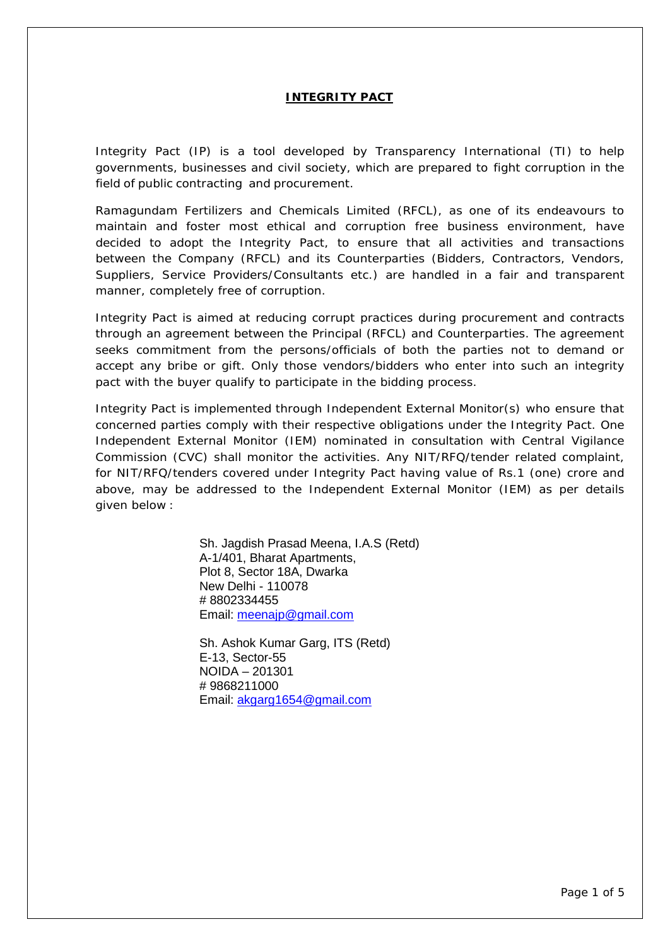### **INTEGRITY PACT**

Integrity Pact (IP) is a tool developed by Transparency International (TI) to help governments, businesses and civil society, which are prepared to fight corruption in the field of public contracting and procurement.

Ramagundam Fertilizers and Chemicals Limited (RFCL), as one of its endeavours to maintain and foster most ethical and corruption free business environment, have decided to adopt the Integrity Pact, to ensure that all activities and transactions between the Company (RFCL) and its Counterparties (Bidders, Contractors, Vendors, Suppliers, Service Providers/Consultants etc.) are handled in a fair and transparent manner, completely free of corruption.

Integrity Pact is aimed at reducing corrupt practices during procurement and contracts through an agreement between the Principal (RFCL) and Counterparties. The agreement seeks commitment from the persons/officials of both the parties not to demand or accept any bribe or gift. Only those vendors/bidders who enter into such an integrity pact with the buyer qualify to participate in the bidding process.

Integrity Pact is implemented through Independent External Monitor(s) who ensure that concerned parties comply with their respective obligations under the Integrity Pact. One Independent External Monitor (IEM) nominated in consultation with Central Vigilance Commission (CVC) shall monitor the activities. Any NIT/RFQ/tender related complaint, for NIT/RFQ/tenders covered under Integrity Pact having value of Rs.1 (one) crore and above, may be addressed to the Independent External Monitor (IEM) as per details given below :

> Sh. Jagdish Prasad Meena, I.A.S (Retd) A-1/401, Bharat Apartments, Plot 8, Sector 18A, Dwarka New Delhi - 110078 # 8802334455 Email: [meenajp@gmail.com](mailto:meenajp@gmail.com)

Sh. Ashok Kumar Garg, ITS (Retd) E-13, Sector-55 NOIDA – 201301 # 9868211000 Email: [akgarg1654@gmail.com](mailto:akgarg1654@gmail.com)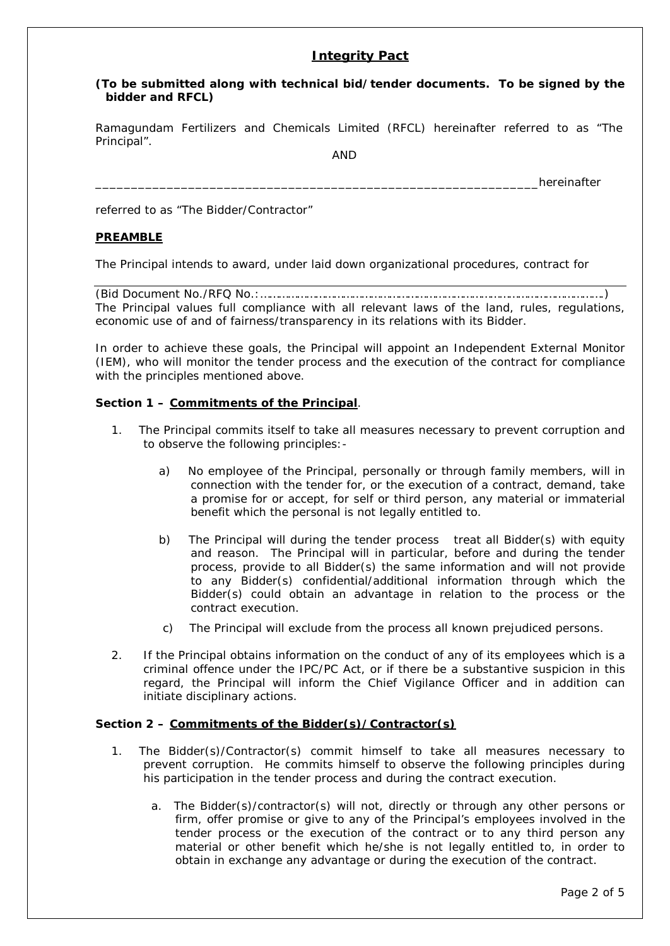# **Integrity Pact**

### **(To be submitted along with technical bid/tender documents. To be signed by the bidder and RFCL)**

Ramagundam Fertilizers and Chemicals Limited (RFCL) hereinafter referred to as "The Principal".

AND

hereinafter

referred to as "The Bidder/Contractor"

### **PREAMBLE**

The Principal intends to award, under laid down organizational procedures, contract for

(Bid Document No./RFQ No.:………………………………………………………………………………………………….) The Principal values full compliance with all relevant laws of the land, rules, regulations, economic use of and of fairness/transparency in its relations with its Bidder.

In order to achieve these goals, the Principal will appoint an Independent External Monitor (IEM), who will monitor the tender process and the execution of the contract for compliance with the principles mentioned above.

#### **Section 1 – Commitments of the Principal**.

- 1. The Principal commits itself to take all measures necessary to prevent corruption and to observe the following principles:
	- a) No employee of the Principal, personally or through family members, will in connection with the tender for, or the execution of a contract, demand, take a promise for or accept, for self or third person, any material or immaterial benefit which the personal is not legally entitled to.
	- b) The Principal will during the tender process treat all Bidder(s) with equity and reason. The Principal will in particular, before and during the tender process, provide to all Bidder(s) the same information and will not provide to any Bidder(s) confidential/additional information through which the Bidder(s) could obtain an advantage in relation to the process or the contract execution.
	- c) The Principal will exclude from the process all known prejudiced persons.
- 2. If the Principal obtains information on the conduct of any of its employees which is a criminal offence under the IPC/PC Act, or if there be a substantive suspicion in this regard, the Principal will inform the Chief Vigilance Officer and in addition can initiate disciplinary actions.

#### **Section 2 – Commitments of the Bidder(s)/Contractor(s)**

- 1. The Bidder(s)/Contractor(s) commit himself to take all measures necessary to prevent corruption. He commits himself to observe the following principles during his participation in the tender process and during the contract execution.
	- a. The Bidder(s)/contractor(s) will not, directly or through any other persons or firm, offer promise or give to any of the Principal's employees involved in the tender process or the execution of the contract or to any third person any material or other benefit which he/she is not legally entitled to, in order to obtain in exchange any advantage or during the execution of the contract.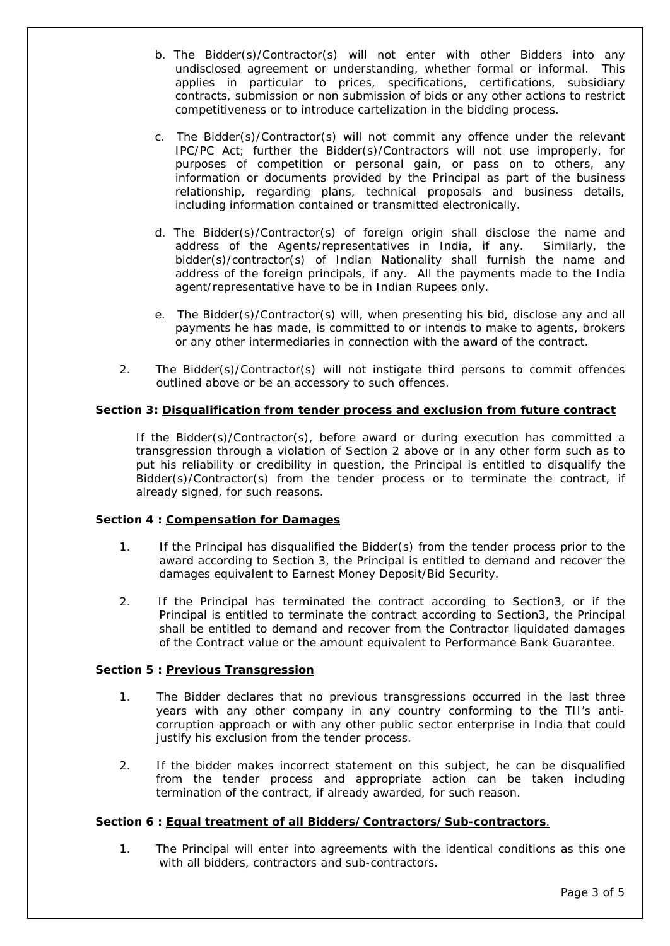- b. The Bidder(s)/Contractor(s) will not enter with other Bidders into any undisclosed agreement or understanding, whether formal or informal. This applies in particular to prices, specifications, certifications, subsidiary contracts, submission or non submission of bids or any other actions to restrict competitiveness or to introduce cartelization in the bidding process.
- c. The Bidder(s)/Contractor(s) will not commit any offence under the relevant IPC/PC Act; further the Bidder(s)/Contractors will not use improperly, for purposes of competition or personal gain, or pass on to others, any information or documents provided by the Principal as part of the business relationship, regarding plans, technical proposals and business details, including information contained or transmitted electronically.
- d. The Bidder(s)/Contractor(s) of foreign origin shall disclose the name and address of the Agents/representatives in India, if any. Similarly, the bidder(s)/contractor(s) of Indian Nationality shall furnish the name and address of the foreign principals, if any. All the payments made to the India agent/representative have to be in Indian Rupees only.
- e. The Bidder(s)/Contractor(s) will, when presenting his bid, disclose any and all payments he has made, is committed to or intends to make to agents, brokers or any other intermediaries in connection with the award of the contract.
- 2. The Bidder(s)/Contractor(s) will not instigate third persons to commit offences outlined above or be an accessory to such offences.

# **Section 3: Disqualification from tender process and exclusion from future contract**

If the Bidder(s)/Contractor(s), before award or during execution has committed a transgression through a violation of Section 2 above or in any other form such as to put his reliability or credibility in question, the Principal is entitled to disqualify the Bidder(s)/Contractor(s) from the tender process or to terminate the contract, if already signed, for such reasons.

### **Section 4 : Compensation for Damages**

- 1. If the Principal has disqualified the Bidder(s) from the tender process prior to the award according to Section 3, the Principal is entitled to demand and recover the damages equivalent to Earnest Money Deposit/Bid Security.
- 2. If the Principal has terminated the contract according to Section3, or if the Principal is entitled to terminate the contract according to Section3, the Principal shall be entitled to demand and recover from the Contractor liquidated damages of the Contract value or the amount equivalent to Performance Bank Guarantee.

### **Section 5 : Previous Transgression**

- 1. The Bidder declares that no previous transgressions occurred in the last three years with any other company in any country conforming to the TII's anticorruption approach or with any other public sector enterprise in India that could justify his exclusion from the tender process.
- 2. If the bidder makes incorrect statement on this subject, he can be disqualified from the tender process and appropriate action can be taken including termination of the contract, if already awarded, for such reason.

### **Section 6 : Equal treatment of all Bidders/Contractors/Sub-contractors**.

1. The Principal will enter into agreements with the identical conditions as this one with all bidders, contractors and sub-contractors.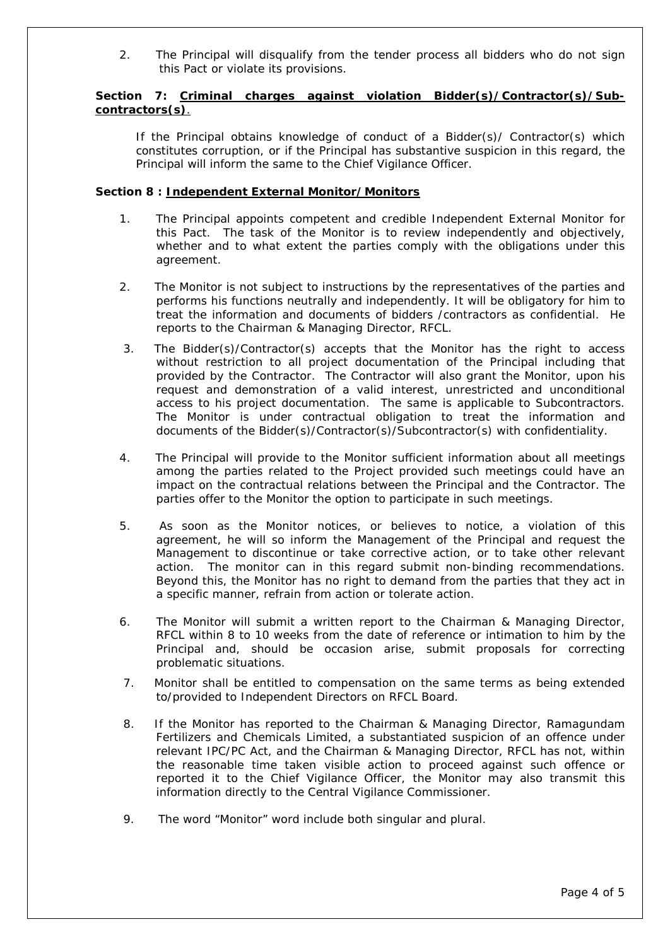2. The Principal will disqualify from the tender process all bidders who do not sign this Pact or violate its provisions.

# Section 7: Criminal charges against violation Bidder(s)/Contractor(s)/Sub**contractors(s)**.

If the Principal obtains knowledge of conduct of a Bidder(s)/ Contractor(s) which constitutes corruption, or if the Principal has substantive suspicion in this regard, the Principal will inform the same to the Chief Vigilance Officer.

### **Section 8 : Independent External Monitor/Monitors**

- 1. The Principal appoints competent and credible Independent External Monitor for this Pact. The task of the Monitor is to review independently and objectively, whether and to what extent the parties comply with the obligations under this agreement.
- 2. The Monitor is not subject to instructions by the representatives of the parties and performs his functions neutrally and independently. It will be obligatory for him to treat the information and documents of bidders /contractors as confidential. He reports to the Chairman & Managing Director, RFCL.
- 3. The Bidder(s)/Contractor(s) accepts that the Monitor has the right to access without restriction to all project documentation of the Principal including that provided by the Contractor. The Contractor will also grant the Monitor, upon his request and demonstration of a valid interest, unrestricted and unconditional access to his project documentation. The same is applicable to Subcontractors. The Monitor is under contractual obligation to treat the information and documents of the Bidder(s)/Contractor(s)/Subcontractor(s) with confidentiality.
- 4. The Principal will provide to the Monitor sufficient information about all meetings among the parties related to the Project provided such meetings could have an impact on the contractual relations between the Principal and the Contractor. The parties offer to the Monitor the option to participate in such meetings.
- 5. As soon as the Monitor notices, or believes to notice, a violation of this agreement, he will so inform the Management of the Principal and request the Management to discontinue or take corrective action, or to take other relevant action. The monitor can in this regard submit non-binding recommendations. Beyond this, the Monitor has no right to demand from the parties that they act in a specific manner, refrain from action or tolerate action.
- 6. The Monitor will submit a written report to the Chairman & Managing Director, RFCL within 8 to 10 weeks from the date of reference or intimation to him by the Principal and, should be occasion arise, submit proposals for correcting problematic situations.
- 7. Monitor shall be entitled to compensation on the same terms as being extended to/provided to Independent Directors on RFCL Board.
- 8. If the Monitor has reported to the Chairman & Managing Director, Ramagundam Fertilizers and Chemicals Limited, a substantiated suspicion of an offence under relevant IPC/PC Act, and the Chairman & Managing Director, RFCL has not, within the reasonable time taken visible action to proceed against such offence or reported it to the Chief Vigilance Officer, the Monitor may also transmit this information directly to the Central Vigilance Commissioner.
- 9. The word "Monitor" word include both singular and plural.